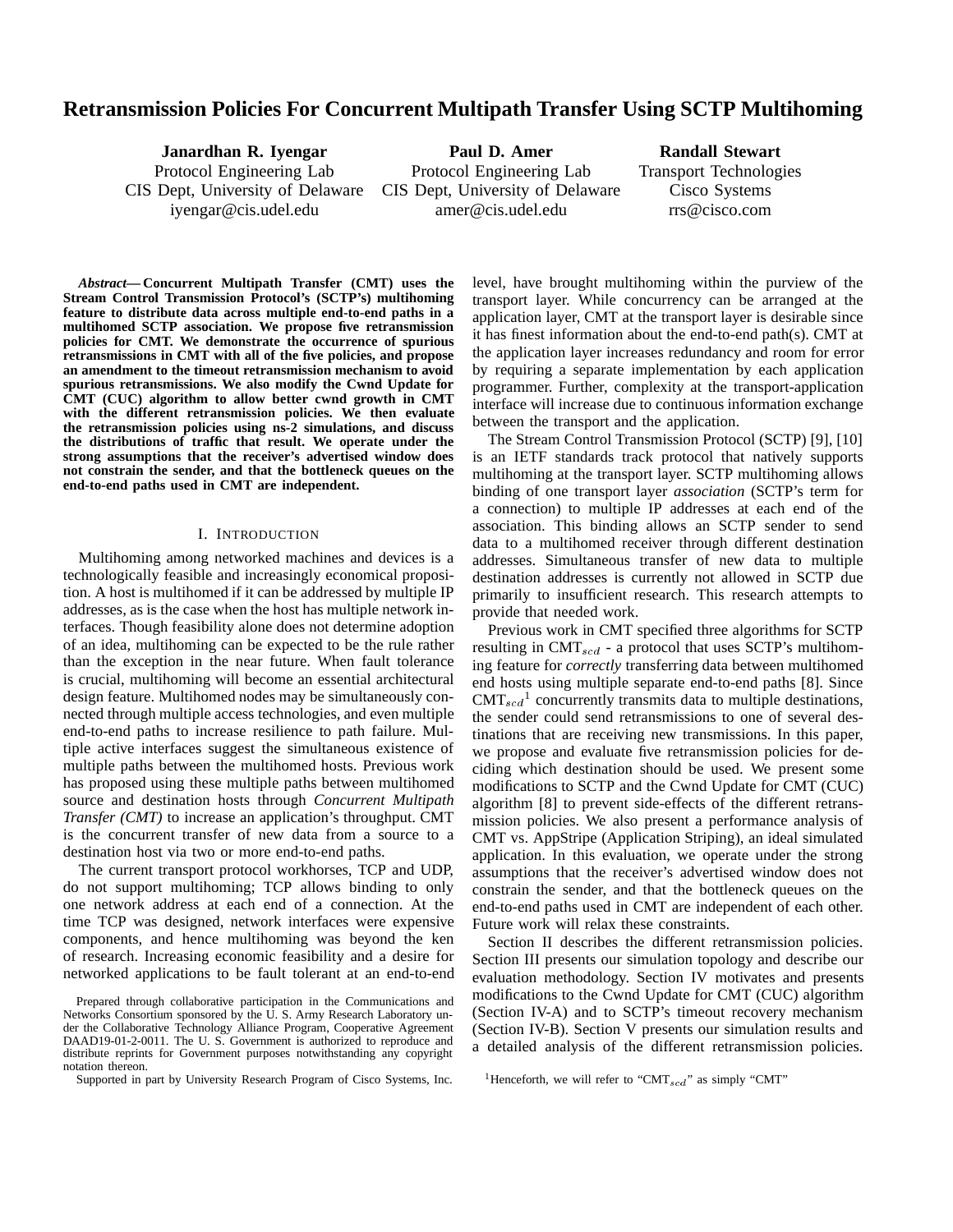# **Retransmission Policies For Concurrent Multipath Transfer Using SCTP Multihoming**

| Janardhan R. Iyengar             | Paul D. Amer                     | <b>Randall Stewart</b>        |
|----------------------------------|----------------------------------|-------------------------------|
| Protocol Engineering Lab         | Protocol Engineering Lab         | <b>Transport Technologies</b> |
| CIS Dept, University of Delaware | CIS Dept, University of Delaware | Cisco Systems                 |
| iyengar@cis.udel.edu             | $amer@cis.$ udel.edu             | rrs@cisco.com                 |

*Abstract***— Concurrent Multipath Transfer (CMT) uses the Stream Control Transmission Protocol's (SCTP's) multihoming feature to distribute data across multiple end-to-end paths in a multihomed SCTP association. We propose five retransmission policies for CMT. We demonstrate the occurrence of spurious retransmissions in CMT with all of the five policies, and propose an amendment to the timeout retransmission mechanism to avoid spurious retransmissions. We also modify the Cwnd Update for CMT (CUC) algorithm to allow better cwnd growth in CMT with the different retransmission policies. We then evaluate the retransmission policies using ns-2 simulations, and discuss the distributions of traffic that result. We operate under the strong assumptions that the receiver's advertised window does not constrain the sender, and that the bottleneck queues on the end-to-end paths used in CMT are independent.**

#### I. INTRODUCTION

Multihoming among networked machines and devices is a technologically feasible and increasingly economical proposition. A host is multihomed if it can be addressed by multiple IP addresses, as is the case when the host has multiple network interfaces. Though feasibility alone does not determine adoption of an idea, multihoming can be expected to be the rule rather than the exception in the near future. When fault tolerance is crucial, multihoming will become an essential architectural design feature. Multihomed nodes may be simultaneously connected through multiple access technologies, and even multiple end-to-end paths to increase resilience to path failure. Multiple active interfaces suggest the simultaneous existence of multiple paths between the multihomed hosts. Previous work has proposed using these multiple paths between multihomed source and destination hosts through *Concurrent Multipath Transfer (CMT)* to increase an application's throughput. CMT is the concurrent transfer of new data from a source to a destination host via two or more end-to-end paths.

The current transport protocol workhorses, TCP and UDP, do not support multihoming; TCP allows binding to only one network address at each end of a connection. At the time TCP was designed, network interfaces were expensive components, and hence multihoming was beyond the ken of research. Increasing economic feasibility and a desire for networked applications to be fault tolerant at an end-to-end

Supported in part by University Research Program of Cisco Systems, Inc.

level, have brought multihoming within the purview of the transport layer. While concurrency can be arranged at the application layer, CMT at the transport layer is desirable since it has finest information about the end-to-end path(s). CMT at the application layer increases redundancy and room for error by requiring a separate implementation by each application programmer. Further, complexity at the transport-application interface will increase due to continuous information exchange between the transport and the application.

The Stream Control Transmission Protocol (SCTP) [9], [10] is an IETF standards track protocol that natively supports multihoming at the transport layer. SCTP multihoming allows binding of one transport layer *association* (SCTP's term for a connection) to multiple IP addresses at each end of the association. This binding allows an SCTP sender to send data to a multihomed receiver through different destination addresses. Simultaneous transfer of new data to multiple destination addresses is currently not allowed in SCTP due primarily to insufficient research. This research attempts to provide that needed work.

Previous work in CMT specified three algorithms for SCTP resulting in  $CMT_{scd}$  - a protocol that uses SCTP's multihoming feature for *correctly* transferring data between multihomed end hosts using multiple separate end-to-end paths [8]. Since  $\text{CMT}_{scd}$ <sup>1</sup> concurrently transmits data to multiple destinations, the sender could send retransmissions to one of several destinations that are receiving new transmissions. In this paper, we propose and evaluate five retransmission policies for deciding which destination should be used. We present some modifications to SCTP and the Cwnd Update for CMT (CUC) algorithm [8] to prevent side-effects of the different retransmission policies. We also present a performance analysis of CMT vs. AppStripe (Application Striping), an ideal simulated application. In this evaluation, we operate under the strong assumptions that the receiver's advertised window does not constrain the sender, and that the bottleneck queues on the end-to-end paths used in CMT are independent of each other. Future work will relax these constraints.

Section II describes the different retransmission policies. Section III presents our simulation topology and describe our evaluation methodology. Section IV motivates and presents modifications to the Cwnd Update for CMT (CUC) algorithm (Section IV-A) and to SCTP's timeout recovery mechanism (Section IV-B). Section V presents our simulation results and a detailed analysis of the different retransmission policies.

Prepared through collaborative participation in the Communications and Networks Consortium sponsored by the U.S. Army Research Laboratory under the Collaborative Technology Alliance Program, Cooperative Agreement DAAD19-01-2-0011. The U. S. Government is authorized to reproduce and distribute reprints for Government purposes notwithstanding any copyright notation thereon.

<sup>&</sup>lt;sup>1</sup>Henceforth, we will refer to "CMT<sub>scd</sub>" as simply "CMT"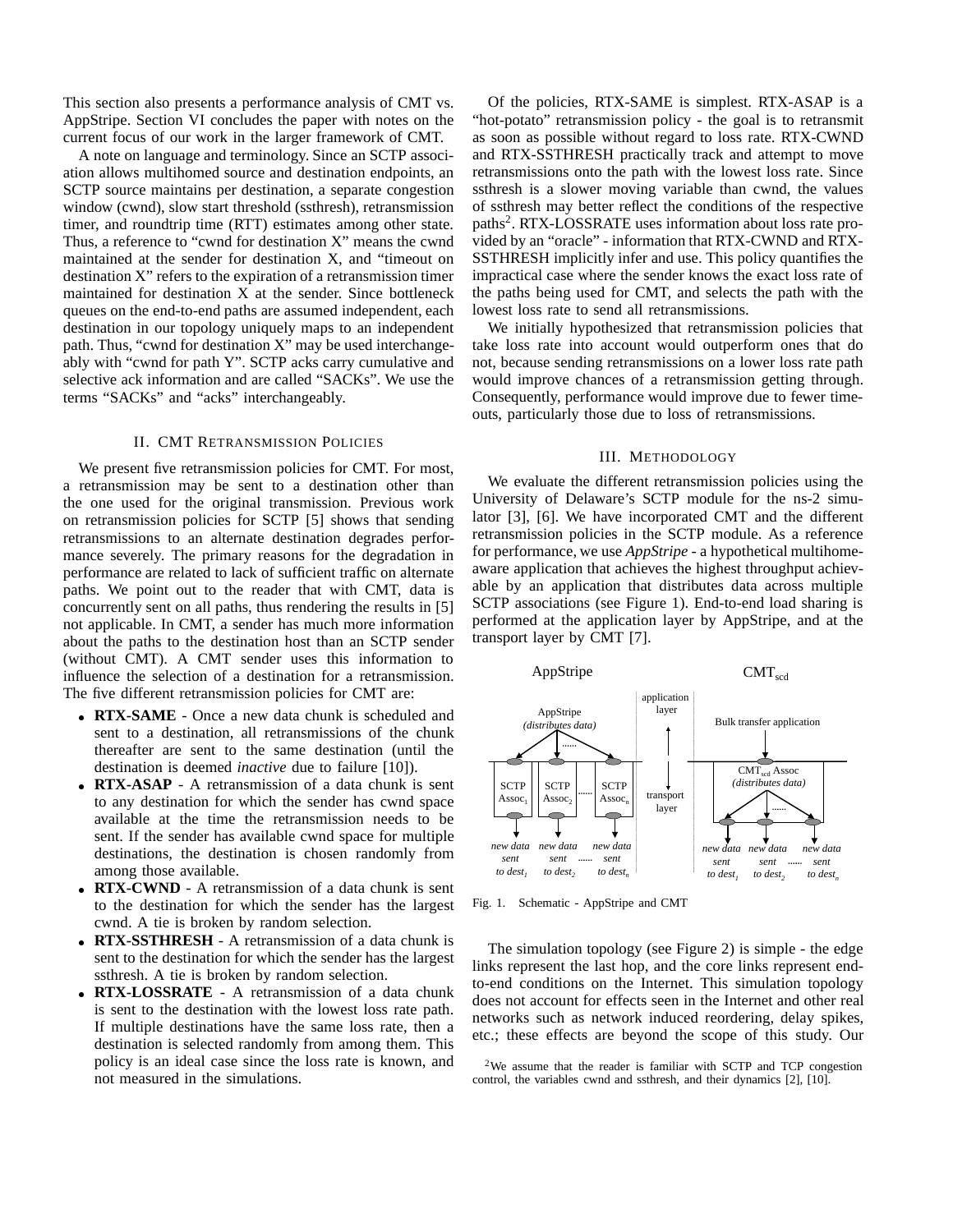This section also presents a performance analysis of CMT vs. AppStripe. Section VI concludes the paper with notes on the current focus of our work in the larger framework of CMT.

A note on language and terminology. Since an SCTP association allows multihomed source and destination endpoints, an SCTP source maintains per destination, a separate congestion window (cwnd), slow start threshold (ssthresh), retransmission timer, and roundtrip time (RTT) estimates among other state. Thus, a reference to "cwnd for destination X" means the cwnd maintained at the sender for destination X, and "timeout on destination X" refers to the expiration of a retransmission timer maintained for destination X at the sender. Since bottleneck queues on the end-to-end paths are assumed independent, each destination in our topology uniquely maps to an independent path. Thus, "cwnd for destination X" may be used interchangeably with "cwnd for path Y". SCTP acks carry cumulative and selective ack information and are called "SACKs". We use the terms "SACKs" and "acks" interchangeably.

#### II. CMT RETRANSMISSION POLICIES

We present five retransmission policies for CMT. For most, a retransmission may be sent to a destination other than the one used for the original transmission. Previous work on retransmission policies for SCTP [5] shows that sending retransmissions to an alternate destination degrades performance severely. The primary reasons for the degradation in performance are related to lack of sufficient traffic on alternate paths. We point out to the reader that with CMT, data is concurrently sent on all paths, thus rendering the results in [5] not applicable. In CMT, a sender has much more information about the paths to the destination host than an SCTP sender (without CMT). A CMT sender uses this information to influence the selection of a destination for a retransmission. The five different retransmission policies for CMT are:

- **RTX-SAME** Once a new data chunk is scheduled and sent to a destination, all retransmissions of the chunk thereafter are sent to the same destination (until the destination is deemed *inactive* due to failure [10]).
- **RTX-ASAP** A retransmission of a data chunk is sent to any destination for which the sender has cwnd space available at the time the retransmission needs to be sent. If the sender has available cwnd space for multiple destinations, the destination is chosen randomly from among those available.
- **RTX-CWND** A retransmission of a data chunk is sent to the destination for which the sender has the largest cwnd. A tie is broken by random selection.
- **RTX-SSTHRESH** A retransmission of a data chunk is sent to the destination for which the sender has the largest ssthresh. A tie is broken by random selection.
- **RTX-LOSSRATE** A retransmission of a data chunk is sent to the destination with the lowest loss rate path. If multiple destinations have the same loss rate, then a destination is selected randomly from among them. This policy is an ideal case since the loss rate is known, and not measured in the simulations.

Of the policies, RTX-SAME is simplest. RTX-ASAP is a "hot-potato" retransmission policy - the goal is to retransmit as soon as possible without regard to loss rate. RTX-CWND and RTX-SSTHRESH practically track and attempt to move retransmissions onto the path with the lowest loss rate. Since ssthresh is a slower moving variable than cwnd, the values of ssthresh may better reflect the conditions of the respective paths<sup>2</sup>. RTX-LOSSRATE uses information about loss rate provided by an "oracle" - information that RTX-CWND and RTX-SSTHRESH implicitly infer and use. This policy quantifies the impractical case where the sender knows the exact loss rate of the paths being used for CMT, and selects the path with the lowest loss rate to send all retransmissions.

We initially hypothesized that retransmission policies that take loss rate into account would outperform ones that do not, because sending retransmissions on a lower loss rate path would improve chances of a retransmission getting through. Consequently, performance would improve due to fewer timeouts, particularly those due to loss of retransmissions.

#### III. METHODOLOGY

We evaluate the different retransmission policies using the University of Delaware's SCTP module for the ns-2 simulator [3], [6]. We have incorporated CMT and the different retransmission policies in the SCTP module. As a reference for performance, we use *AppStripe* - a hypothetical multihomeaware application that achieves the highest throughput achievable by an application that distributes data across multiple SCTP associations (see Figure 1). End-to-end load sharing is performed at the application layer by AppStripe, and at the transport layer by CMT [7].



Fig. 1. Schematic - AppStripe and CMT

The simulation topology (see Figure 2) is simple - the edge links represent the last hop, and the core links represent endto-end conditions on the Internet. This simulation topology does not account for effects seen in the Internet and other real networks such as network induced reordering, delay spikes, etc.; these effects are beyond the scope of this study. Our

 $2$ We assume that the reader is familiar with SCTP and TCP congestion control, the variables cwnd and ssthresh, and their dynamics [2], [10].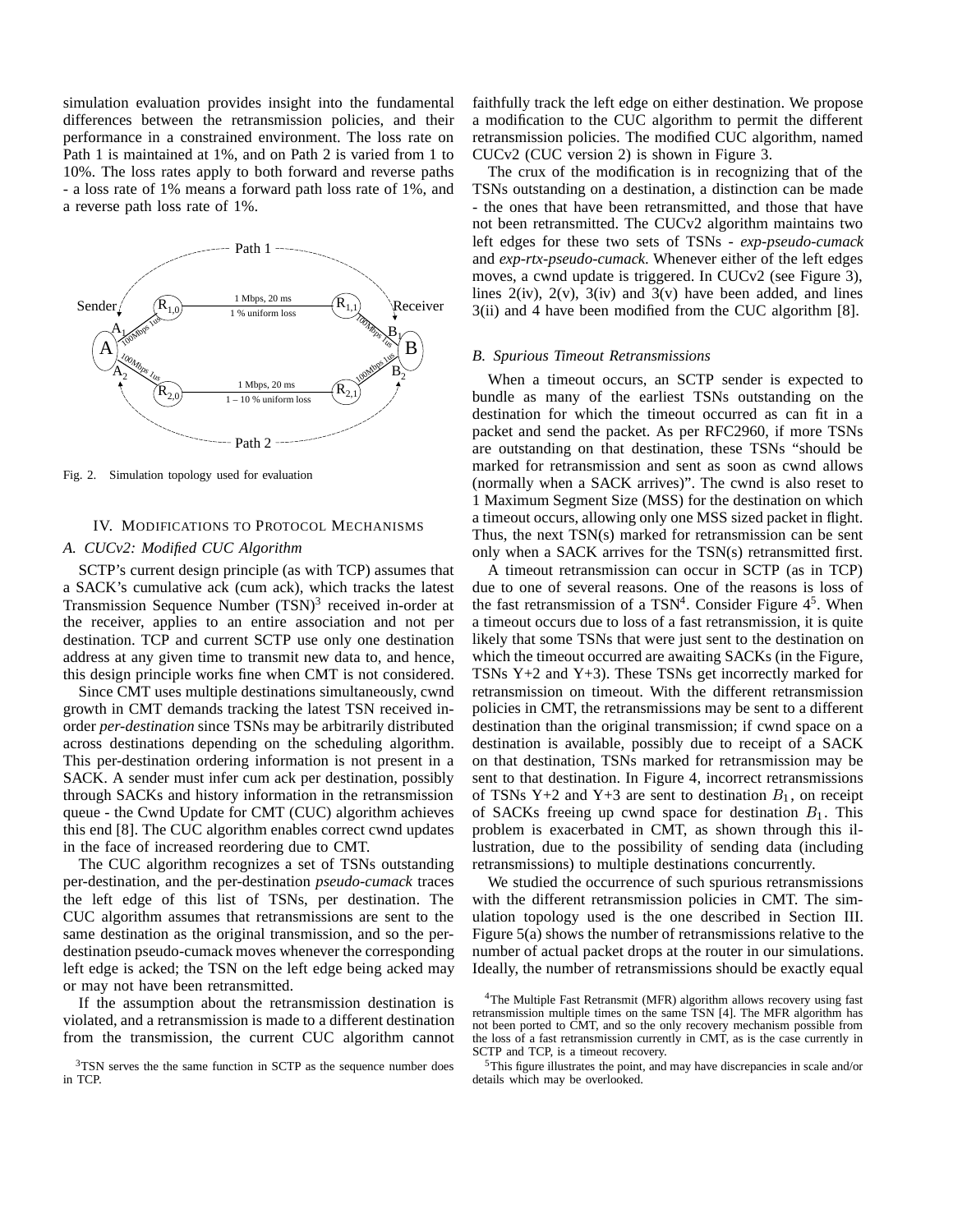simulation evaluation provides insight into the fundamental differences between the retransmission policies, and their performance in a constrained environment. The loss rate on Path 1 is maintained at 1%, and on Path 2 is varied from 1 to 10%. The loss rates apply to both forward and reverse paths - a loss rate of 1% means a forward path loss rate of 1%, and a reverse path loss rate of 1%.



Fig. 2. Simulation topology used for evaluation

# IV. MODIFICATIONS TO PROTOCOL MECHANISMS

# *A. CUCv2: Modified CUC Algorithm*

SCTP's current design principle (as with TCP) assumes that a SACK's cumulative ack (cum ack), which tracks the latest Transmission Sequence Number  $(TSN)^3$  received in-order at the receiver, applies to an entire association and not per destination. TCP and current SCTP use only one destination address at any given time to transmit new data to, and hence, this design principle works fine when CMT is not considered.

Since CMT uses multiple destinations simultaneously, cwnd growth in CMT demands tracking the latest TSN received inorder *per-destination* since TSNs may be arbitrarily distributed across destinations depending on the scheduling algorithm. This per-destination ordering information is not present in a SACK. A sender must infer cum ack per destination, possibly through SACKs and history information in the retransmission queue - the Cwnd Update for CMT (CUC) algorithm achieves this end [8]. The CUC algorithm enables correct cwnd updates in the face of increased reordering due to CMT.

The CUC algorithm recognizes a set of TSNs outstanding per-destination, and the per-destination *pseudo-cumack* traces the left edge of this list of TSNs, per destination. The CUC algorithm assumes that retransmissions are sent to the same destination as the original transmission, and so the perdestination pseudo-cumack moves whenever the corresponding left edge is acked; the TSN on the left edge being acked may or may not have been retransmitted.

If the assumption about the retransmission destination is violated, and a retransmission is made to a different destination from the transmission, the current CUC algorithm cannot

faithfully track the left edge on either destination. We propose a modification to the CUC algorithm to permit the different retransmission policies. The modified CUC algorithm, named CUCv2 (CUC version 2) is shown in Figure 3.

The crux of the modification is in recognizing that of the TSNs outstanding on a destination, a distinction can be made - the ones that have been retransmitted, and those that have not been retransmitted. The CUCv2 algorithm maintains two left edges for these two sets of TSNs - *exp-pseudo-cumack* and *exp-rtx-pseudo-cumack*. Whenever either of the left edges moves, a cwnd update is triggered. In CUCv2 (see Figure 3), lines  $2(iv)$ ,  $2(v)$ ,  $3(iv)$  and  $3(v)$  have been added, and lines 3(ii) and 4 have been modified from the CUC algorithm [8].

### *B. Spurious Timeout Retransmissions*

When a timeout occurs, an SCTP sender is expected to bundle as many of the earliest TSNs outstanding on the destination for which the timeout occurred as can fit in a packet and send the packet. As per RFC2960, if more TSNs are outstanding on that destination, these TSNs "should be marked for retransmission and sent as soon as cwnd allows (normally when a SACK arrives)". The cwnd is also reset to 1 Maximum Segment Size (MSS) for the destination on which a timeout occurs, allowing only one MSS sized packet in flight. Thus, the next TSN(s) marked for retransmission can be sent only when a SACK arrives for the TSN(s) retransmitted first.

A timeout retransmission can occur in SCTP (as in TCP) due to one of several reasons. One of the reasons is loss of the fast retransmission of a TSN<sup>4</sup>. Consider Figure  $4^5$ . When a timeout occurs due to loss of a fast retransmission, it is quite likely that some TSNs that were just sent to the destination on which the timeout occurred are awaiting SACKs (in the Figure, TSNs Y+2 and Y+3). These TSNs get incorrectly marked for retransmission on timeout. With the different retransmission policies in CMT, the retransmissions may be sent to a different destination than the original transmission; if cwnd space on a destination is available, possibly due to receipt of a SACK on that destination, TSNs marked for retransmission may be sent to that destination. In Figure 4, incorrect retransmissions of TSNs Y+2 and Y+3 are sent to destination  $B_1$ , on receipt of SACKs freeing up cwnd space for destination  $B_1$ . This problem is exacerbated in CMT, as shown through this illustration, due to the possibility of sending data (including retransmissions) to multiple destinations concurrently.

We studied the occurrence of such spurious retransmissions with the different retransmission policies in CMT. The simulation topology used is the one described in Section III. Figure 5(a) shows the number of retransmissions relative to the number of actual packet drops at the router in our simulations. Ideally, the number of retransmissions should be exactly equal

<sup>3</sup>TSN serves the the same function in SCTP as the sequence number does in TCP.

<sup>&</sup>lt;sup>4</sup>The Multiple Fast Retransmit (MFR) algorithm allows recovery using fast retransmission multiple times on the same TSN [4]. The MFR algorithm has not been ported to CMT, and so the only recovery mechanism possible from the loss of a fast retransmission currently in CMT, as is the case currently in SCTP and TCP, is a timeout recovery.

<sup>5</sup>This figure illustrates the point, and may have discrepancies in scale and/or details which may be overlooked.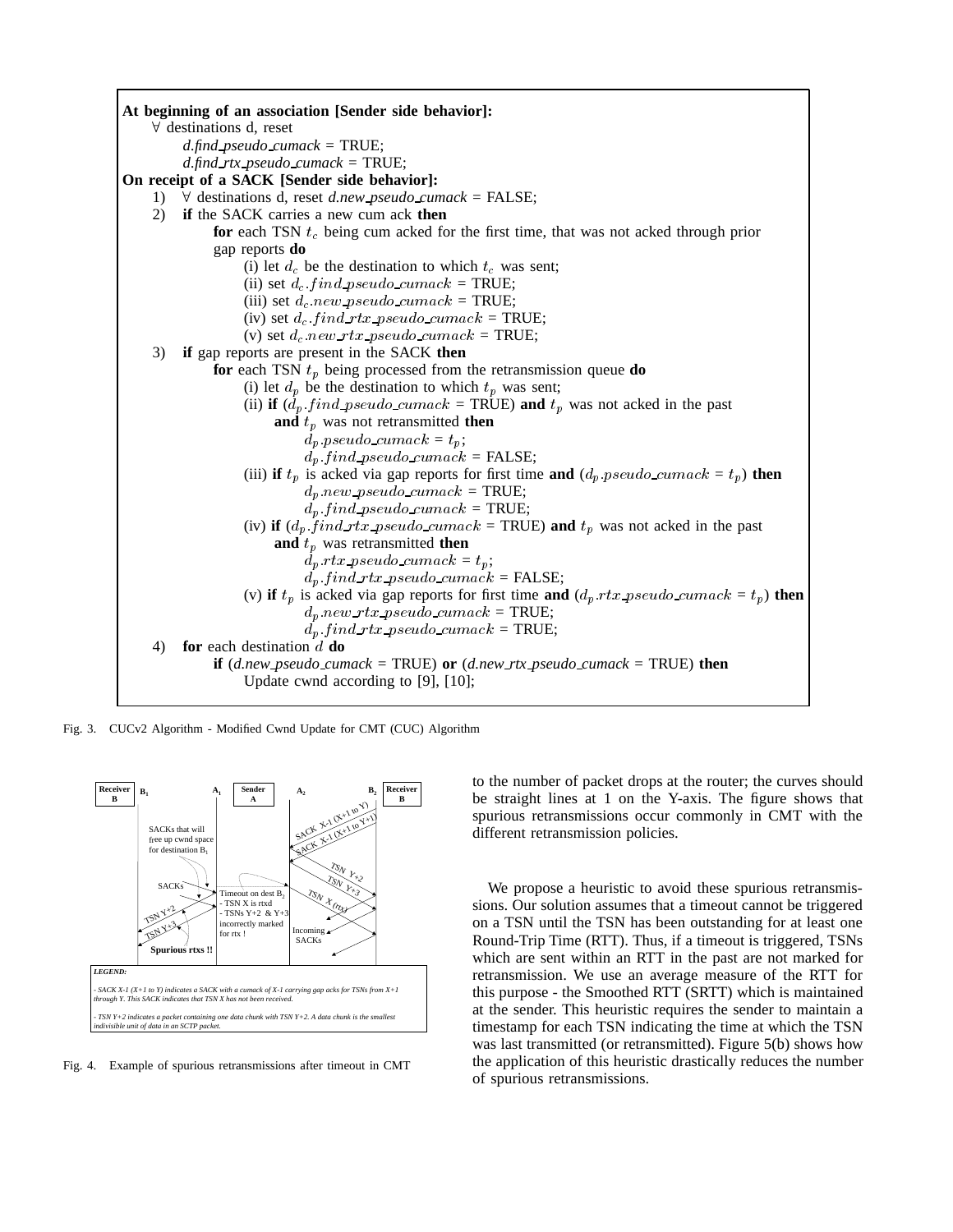

Fig. 3. CUCv2 Algorithm - Modified Cwnd Update for CMT (CUC) Algorithm



Fig. 4. Example of spurious retransmissions after timeout in CMT

to the number of packet drops at the router; the curves should be straight lines at 1 on the Y-axis. The figure shows that spurious retransmissions occur commonly in CMT with the different retransmission policies.

We propose a heuristic to avoid these spurious retransmissions. Our solution assumes that a timeout cannot be triggered on a TSN until the TSN has been outstanding for at least one Round-Trip Time (RTT). Thus, if a timeout is triggered, TSNs which are sent within an RTT in the past are not marked for retransmission. We use an average measure of the RTT for this purpose - the Smoothed RTT (SRTT) which is maintained at the sender. This heuristic requires the sender to maintain a timestamp for each TSN indicating the time at which the TSN was last transmitted (or retransmitted). Figure 5(b) shows how the application of this heuristic drastically reduces the number of spurious retransmissions.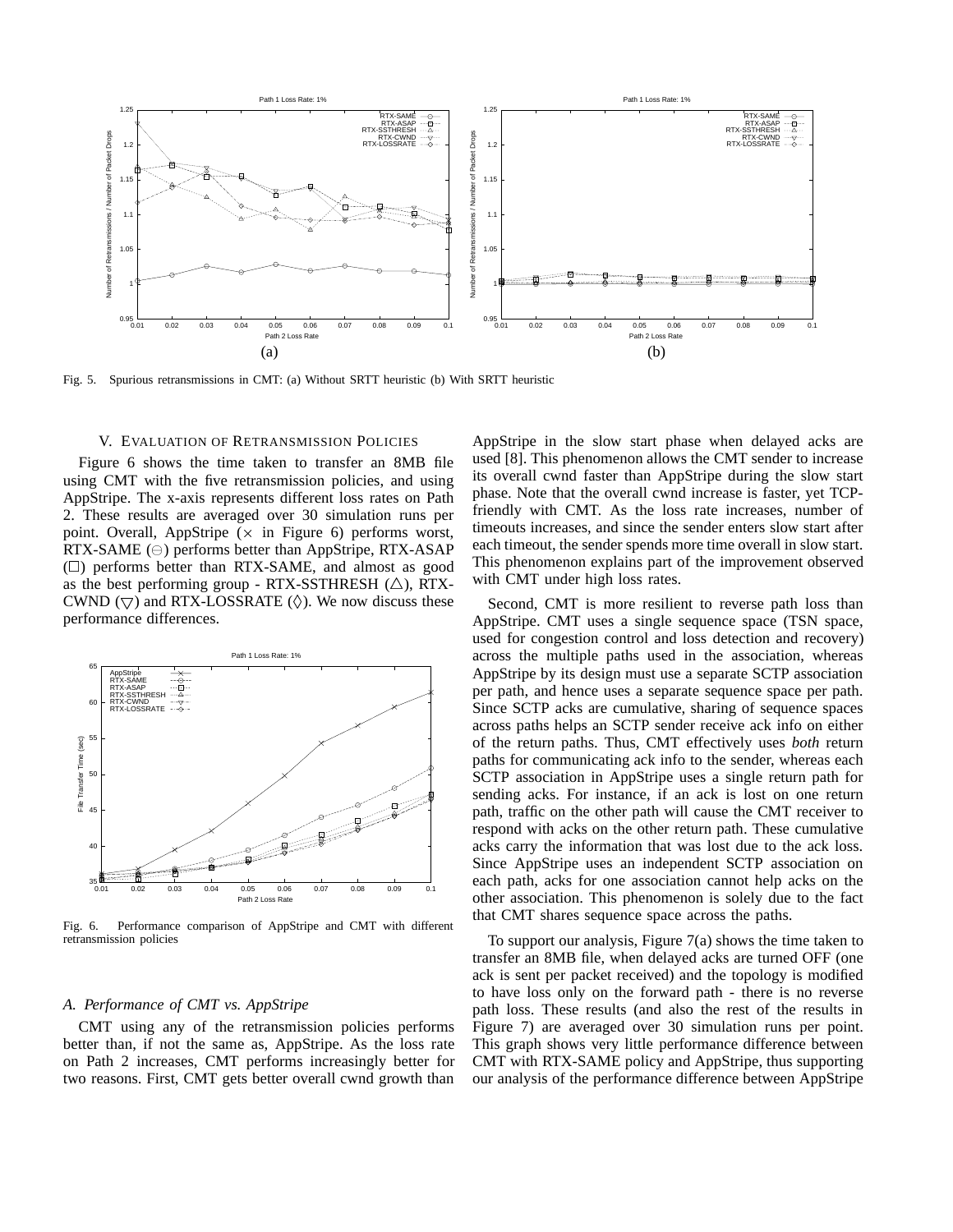

Fig. 5. Spurious retransmissions in CMT: (a) Without SRTT heuristic (b) With SRTT heuristic

### V. EVALUATION OF RETRANSMISSION POLICIES

Figure 6 shows the time taken to transfer an 8MB file using CMT with the five retransmission policies, and using AppStripe. The x-axis represents different loss rates on Path 2. These results are averaged over 30 simulation runs per point. Overall, AppStripe  $(x$  in Figure 6) performs worst,  $RTX-SAME$  ( $\ominus$ ) performs better than AppStripe, RTX-ASAP  $(\Box)$  performs better than RTX-SAME, and almost as good as the best performing group - RTX-SSTHRESH  $(\triangle)$ , RTX-CWND  $(\nabla)$  and RTX-LOSSRATE  $(\Diamond)$ . We now discuss these performance differences.



Fig. 6. Performance comparison of AppStripe and CMT with different retransmission policies

### *A. Performance of CMT vs. AppStripe*

CMT using any of the retransmission policies performs better than, if not the same as, AppStripe. As the loss rate on Path 2 increases, CMT performs increasingly better for two reasons. First, CMT gets better overall cwnd growth than

AppStripe in the slow start phase when delayed acks are used [8]. This phenomenon allows the CMT sender to increase its overall cwnd faster than AppStripe during the slow start phase. Note that the overall cwnd increase is faster, yet TCPfriendly with CMT. As the loss rate increases, number of timeouts increases, and since the sender enters slow start after each timeout, the sender spends more time overall in slow start. This phenomenon explains part of the improvement observed with CMT under high loss rates.

Second, CMT is more resilient to reverse path loss than AppStripe. CMT uses a single sequence space (TSN space, used for congestion control and loss detection and recovery) across the multiple paths used in the association, whereas AppStripe by its design must use a separate SCTP association per path, and hence uses a separate sequence space per path. Since SCTP acks are cumulative, sharing of sequence spaces across paths helps an SCTP sender receive ack info on either of the return paths. Thus, CMT effectively uses *both* return paths for communicating ack info to the sender, whereas each SCTP association in AppStripe uses a single return path for sending acks. For instance, if an ack is lost on one return path, traffic on the other path will cause the CMT receiver to respond with acks on the other return path. These cumulative acks carry the information that was lost due to the ack loss. Since AppStripe uses an independent SCTP association on each path, acks for one association cannot help acks on the other association. This phenomenon is solely due to the fact that CMT shares sequence space across the paths.

To support our analysis, Figure 7(a) shows the time taken to transfer an 8MB file, when delayed acks are turned OFF (one ack is sent per packet received) and the topology is modified to have loss only on the forward path - there is no reverse path loss. These results (and also the rest of the results in Figure 7) are averaged over 30 simulation runs per point. This graph shows very little performance difference between CMT with RTX-SAME policy and AppStripe, thus supporting our analysis of the performance difference between AppStripe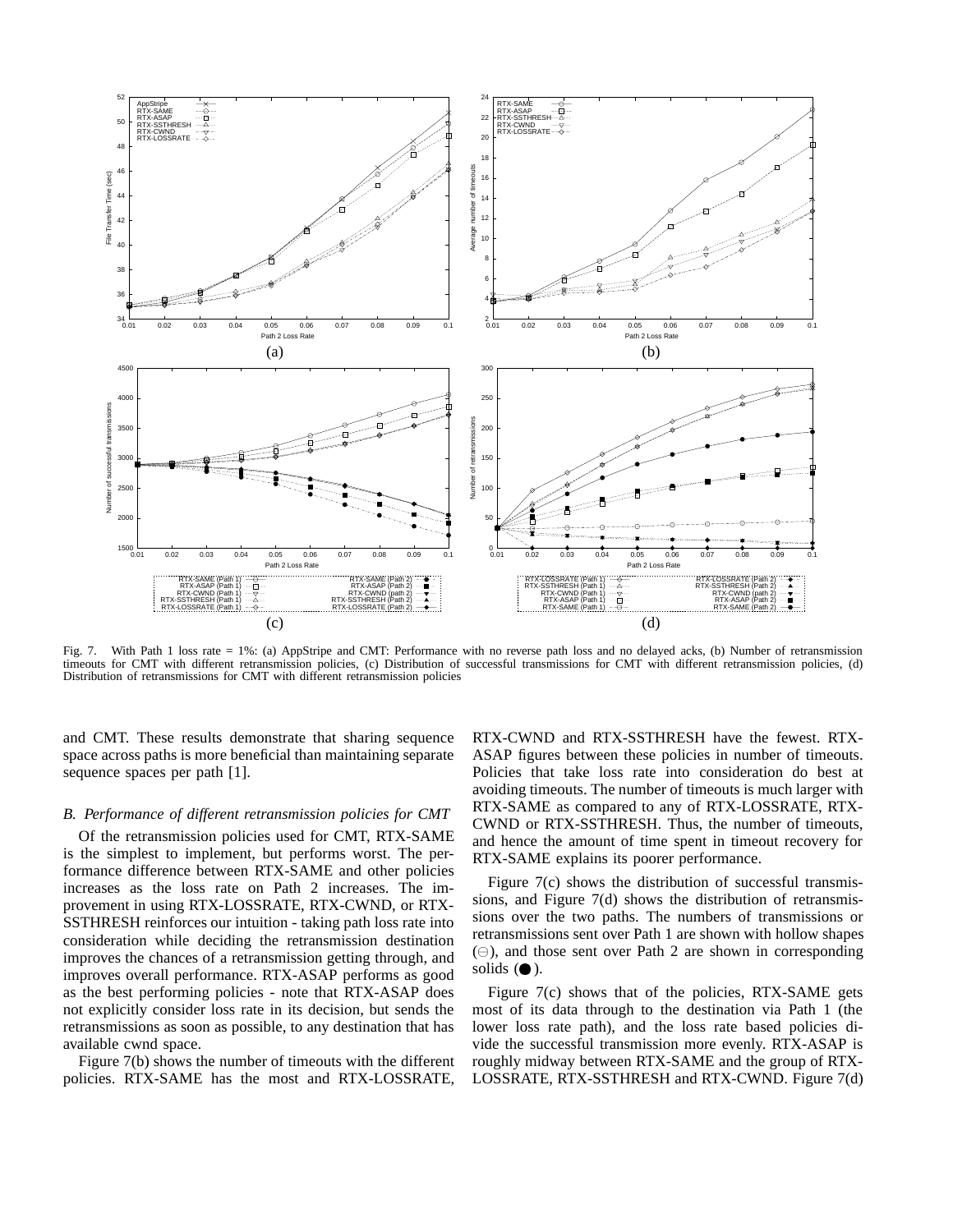

Fig. 7. With Path 1 loss rate = 1%: (a) AppStripe and CMT: Performance with no reverse path loss and no delayed acks, (b) Number of retransmission timeouts for CMT with different retransmission policies, (c) Distribution of successful transmissions for CMT with different retransmission policies, (d) Distribution of retransmissions for CMT with different retransmission policies

and CMT. These results demonstrate that sharing sequence space across paths is more beneficial than maintaining separate sequence spaces per path [1].

# *B. Performance of different retransmission policies for CMT*

Of the retransmission policies used for CMT, RTX-SAME is the simplest to implement, but performs worst. The performance difference between RTX-SAME and other policies increases as the loss rate on Path 2 increases. The improvement in using RTX-LOSSRATE, RTX-CWND, or RTX-SSTHRESH reinforces our intuition - taking path loss rate into consideration while deciding the retransmission destination improves the chances of a retransmission getting through, and improves overall performance. RTX-ASAP performs as good as the best performing policies - note that RTX-ASAP does not explicitly consider loss rate in its decision, but sends the retransmissions as soon as possible, to any destination that has available cwnd space.

Figure 7(b) shows the number of timeouts with the different policies. RTX-SAME has the most and RTX-LOSSRATE,

RTX-CWND and RTX-SSTHRESH have the fewest. RTX-ASAP figures between these policies in number of timeouts. Policies that take loss rate into consideration do best at avoiding timeouts. The number of timeouts is much larger with RTX-SAME as compared to any of RTX-LOSSRATE, RTX-CWND or RTX-SSTHRESH. Thus, the number of timeouts, and hence the amount of time spent in timeout recovery for RTX-SAME explains its poorer performance.

Figure 7(c) shows the distribution of successful transmissions, and Figure 7(d) shows the distribution of retransmissions over the two paths. The numbers of transmissions or retransmissions sent over Path 1 are shown with hollow shapes  $(\ominus)$ , and those sent over Path 2 are shown in corresponding solids  $( \bullet )$ .

Figure 7(c) shows that of the policies, RTX-SAME gets most of its data through to the destination via Path 1 (the lower loss rate path), and the loss rate based policies divide the successful transmission more evenly. RTX-ASAP is roughly midway between RTX-SAME and the group of RTX-LOSSRATE, RTX-SSTHRESH and RTX-CWND. Figure 7(d)